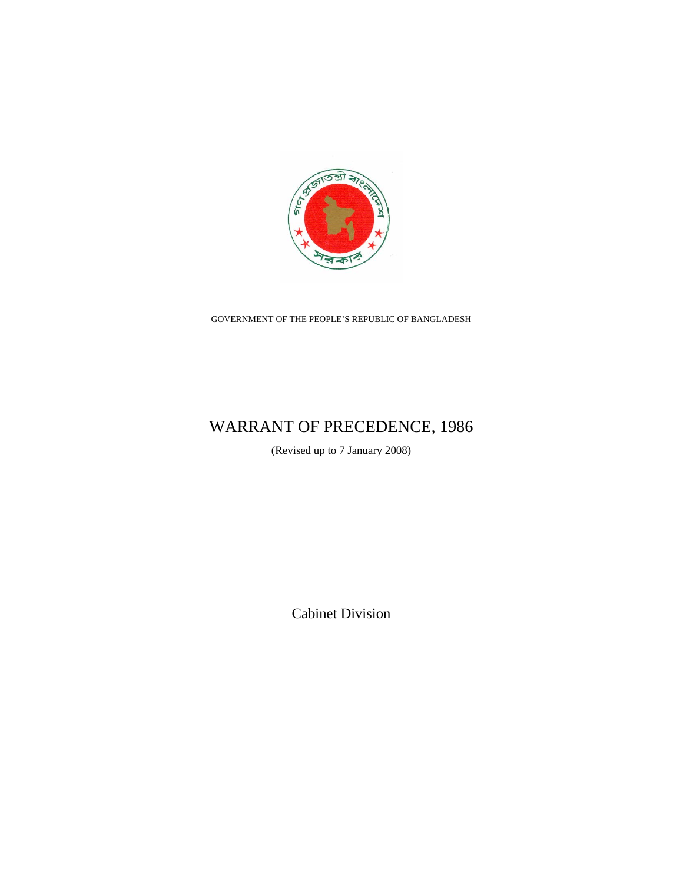

GOVERNMENT OF THE PEOPLE'S REPUBLIC OF BANGLADESH

# WARRANT OF PRECEDENCE, 1986

(Revised up to 7 January 2008)

Cabinet Division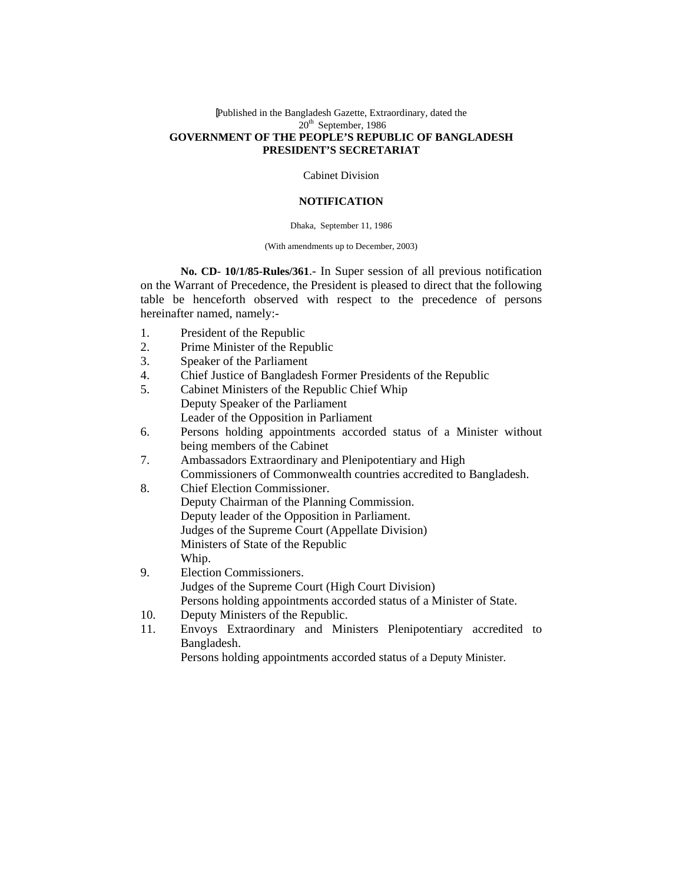### [Published in the Bangladesh Gazette, Extraordinary, dated the 20<sup>th</sup> September, 1986 **GOVERNMENT OF THE PEOPLE'S REPUBLIC OF BANGLADESH PRESIDENT'S SECRETARIAT**

Cabinet Division

### **NOTIFICATION**

#### Dhaka, September 11, 1986

#### (With amendments up to December, 2003)

**No. CD- 10/1/85-Rules/361**.- In Super session of all previous notification on the Warrant of Precedence, the President is pleased to direct that the following table be henceforth observed with respect to the precedence of persons hereinafter named, namely:-

- 1. President of the Republic
- 2. Prime Minister of the Republic
- 3. Speaker of the Parliament
- 4. Chief Justice of Bangladesh Former Presidents of the Republic
- 5. Cabinet Ministers of the Republic Chief Whip Deputy Speaker of the Parliament Leader of the Opposition in Parliament
- 6. Persons holding appointments accorded status of a Minister without being members of the Cabinet
- 7. Ambassadors Extraordinary and Plenipotentiary and High Commissioners of Commonwealth countries accredited to Bangladesh.
- 8. Chief Election Commissioner. Deputy Chairman of the Planning Commission. Deputy leader of the Opposition in Parliament. Judges of the Supreme Court (Appellate Division) Ministers of State of the Republic Whip.
- 9. Election Commissioners. Judges of the Supreme Court (High Court Division) Persons holding appointments accorded status of a Minister of State.
- 10. Deputy Ministers of the Republic.
- 11. Envoys Extraordinary and Ministers Plenipotentiary accredited to Bangladesh.

Persons holding appointments accorded status of a Deputy Minister.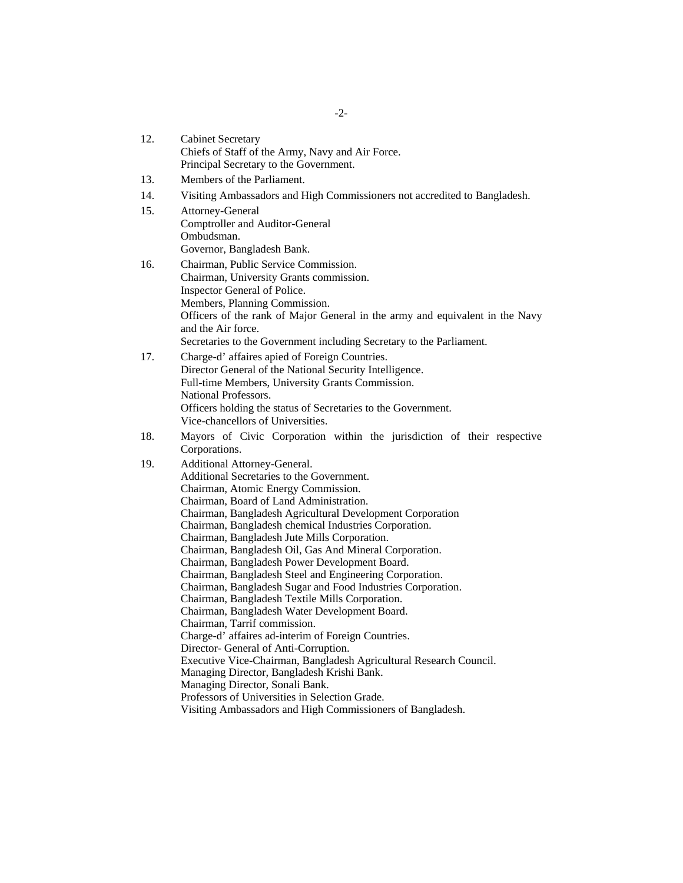| 12. | <b>Cabinet Secretary</b><br>Chiefs of Staff of the Army, Navy and Air Force.<br>Principal Secretary to the Government.                                                                                                                                                                                                                                                                                                                                                                                                                                                                                                                                                                                                                                                                                                                                                                                                                                                                                                                                                            |  |  |  |
|-----|-----------------------------------------------------------------------------------------------------------------------------------------------------------------------------------------------------------------------------------------------------------------------------------------------------------------------------------------------------------------------------------------------------------------------------------------------------------------------------------------------------------------------------------------------------------------------------------------------------------------------------------------------------------------------------------------------------------------------------------------------------------------------------------------------------------------------------------------------------------------------------------------------------------------------------------------------------------------------------------------------------------------------------------------------------------------------------------|--|--|--|
| 13. | Members of the Parliament.                                                                                                                                                                                                                                                                                                                                                                                                                                                                                                                                                                                                                                                                                                                                                                                                                                                                                                                                                                                                                                                        |  |  |  |
| 14. | Visiting Ambassadors and High Commissioners not accredited to Bangladesh.                                                                                                                                                                                                                                                                                                                                                                                                                                                                                                                                                                                                                                                                                                                                                                                                                                                                                                                                                                                                         |  |  |  |
| 15. | Attorney-General<br>Comptroller and Auditor-General<br>Ombudsman.<br>Governor, Bangladesh Bank.                                                                                                                                                                                                                                                                                                                                                                                                                                                                                                                                                                                                                                                                                                                                                                                                                                                                                                                                                                                   |  |  |  |
| 16. | Chairman, Public Service Commission.<br>Chairman, University Grants commission.<br>Inspector General of Police.<br>Members, Planning Commission.<br>Officers of the rank of Major General in the army and equivalent in the Navy<br>and the Air force.<br>Secretaries to the Government including Secretary to the Parliament.                                                                                                                                                                                                                                                                                                                                                                                                                                                                                                                                                                                                                                                                                                                                                    |  |  |  |
| 17. | Charge-d' affaires apied of Foreign Countries.<br>Director General of the National Security Intelligence.<br>Full-time Members, University Grants Commission.<br>National Professors.<br>Officers holding the status of Secretaries to the Government.<br>Vice-chancellors of Universities.                                                                                                                                                                                                                                                                                                                                                                                                                                                                                                                                                                                                                                                                                                                                                                                       |  |  |  |
| 18. | Mayors of Civic Corporation within the jurisdiction of their respective<br>Corporations.                                                                                                                                                                                                                                                                                                                                                                                                                                                                                                                                                                                                                                                                                                                                                                                                                                                                                                                                                                                          |  |  |  |
| 19. | Additional Attorney-General.<br>Additional Secretaries to the Government.<br>Chairman, Atomic Energy Commission.<br>Chairman, Board of Land Administration.<br>Chairman, Bangladesh Agricultural Development Corporation<br>Chairman, Bangladesh chemical Industries Corporation.<br>Chairman, Bangladesh Jute Mills Corporation.<br>Chairman, Bangladesh Oil, Gas And Mineral Corporation.<br>Chairman, Bangladesh Power Development Board.<br>Chairman, Bangladesh Steel and Engineering Corporation.<br>Chairman, Bangladesh Sugar and Food Industries Corporation.<br>Chairman, Bangladesh Textile Mills Corporation.<br>Chairman, Bangladesh Water Development Board.<br>Chairman, Tarrif commission.<br>Charge-d' affaires ad-interim of Foreign Countries.<br>Director- General of Anti-Corruption.<br>Executive Vice-Chairman, Bangladesh Agricultural Research Council.<br>Managing Director, Bangladesh Krishi Bank.<br>Managing Director, Sonali Bank.<br>Professors of Universities in Selection Grade.<br>Visiting Ambassadors and High Commissioners of Bangladesh. |  |  |  |

-2-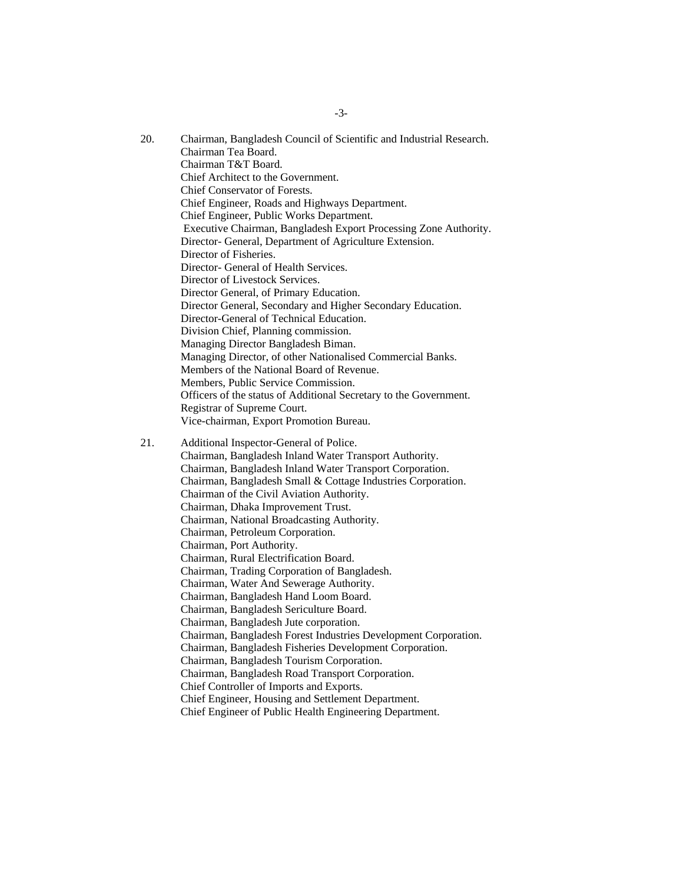- 20. Chairman, Bangladesh Council of Scientific and Industrial Research. Chairman Tea Board. Chairman T&T Board. Chief Architect to the Government. Chief Conservator of Forests. Chief Engineer, Roads and Highways Department. Chief Engineer, Public Works Department. Executive Chairman, Bangladesh Export Processing Zone Authority. Director- General, Department of Agriculture Extension. Director of Fisheries. Director- General of Health Services. Director of Livestock Services. Director General, of Primary Education. Director General, Secondary and Higher Secondary Education. Director-General of Technical Education. Division Chief, Planning commission. Managing Director Bangladesh Biman. Managing Director, of other Nationalised Commercial Banks. Members of the National Board of Revenue. Members, Public Service Commission. Officers of the status of Additional Secretary to the Government. Registrar of Supreme Court. Vice-chairman, Export Promotion Bureau. 21. Additional Inspector-General of Police. Chairman, Bangladesh Inland Water Transport Authority. Chairman, Bangladesh Inland Water Transport Corporation. Chairman, Bangladesh Small & Cottage Industries Corporation. Chairman of the Civil Aviation Authority. Chairman, Dhaka Improvement Trust. Chairman, National Broadcasting Authority. Chairman, Petroleum Corporation. Chairman, Port Authority. Chairman, Rural Electrification Board. Chairman, Trading Corporation of Bangladesh.
	- Chairman, Water And Sewerage Authority.
	- Chairman, Bangladesh Hand Loom Board.
	- Chairman, Bangladesh Sericulture Board.
	- Chairman, Bangladesh Jute corporation.
	- Chairman, Bangladesh Forest Industries Development Corporation.
	- Chairman, Bangladesh Fisheries Development Corporation.
	- Chairman, Bangladesh Tourism Corporation.
	- Chairman, Bangladesh Road Transport Corporation.
	- Chief Controller of Imports and Exports.
	- Chief Engineer, Housing and Settlement Department.
	- Chief Engineer of Public Health Engineering Department.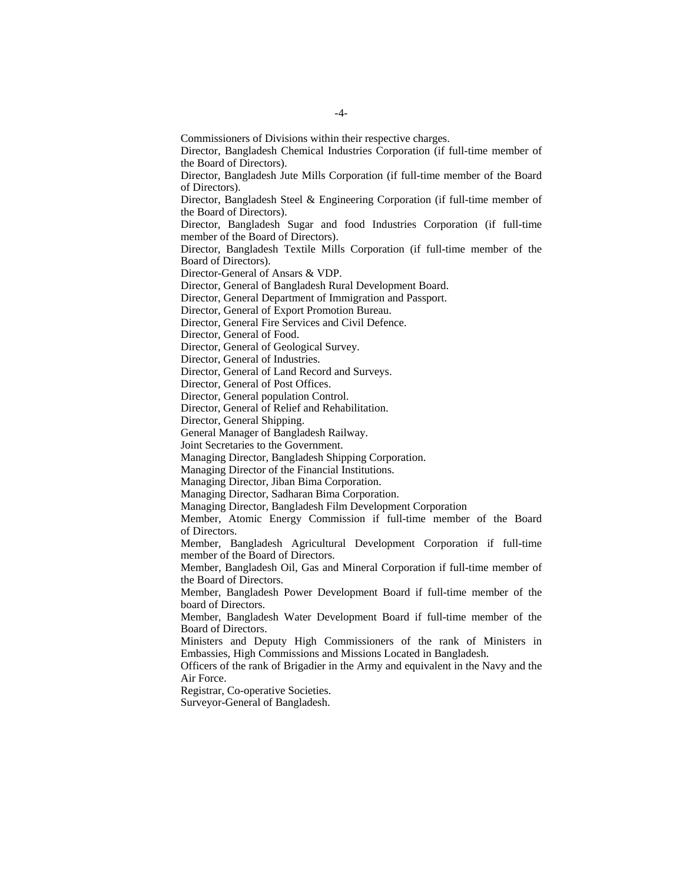Commissioners of Divisions within their respective charges.

Director, Bangladesh Chemical Industries Corporation (if full-time member of the Board of Directors).

Director, Bangladesh Jute Mills Corporation (if full-time member of the Board of Directors).

Director, Bangladesh Steel & Engineering Corporation (if full-time member of the Board of Directors).

Director, Bangladesh Sugar and food Industries Corporation (if full-time member of the Board of Directors).

Director, Bangladesh Textile Mills Corporation (if full-time member of the Board of Directors).

Director-General of Ansars & VDP.

Director, General of Bangladesh Rural Development Board.

Director, General Department of Immigration and Passport.

Director, General of Export Promotion Bureau.

Director, General Fire Services and Civil Defence.

Director, General of Food.

Director, General of Geological Survey.

Director, General of Industries.

Director, General of Land Record and Surveys.

Director, General of Post Offices.

Director, General population Control.

Director, General of Relief and Rehabilitation.

Director, General Shipping.

General Manager of Bangladesh Railway.

Joint Secretaries to the Government.

Managing Director, Bangladesh Shipping Corporation.

Managing Director of the Financial Institutions.

Managing Director, Jiban Bima Corporation.

Managing Director, Sadharan Bima Corporation.

Managing Director, Bangladesh Film Development Corporation

Member, Atomic Energy Commission if full-time member of the Board of Directors.

Member, Bangladesh Agricultural Development Corporation if full-time member of the Board of Directors.

Member, Bangladesh Oil, Gas and Mineral Corporation if full-time member of the Board of Directors.

Member, Bangladesh Power Development Board if full-time member of the board of Directors.

Member, Bangladesh Water Development Board if full-time member of the Board of Directors.

Ministers and Deputy High Commissioners of the rank of Ministers in Embassies, High Commissions and Missions Located in Bangladesh.

Officers of the rank of Brigadier in the Army and equivalent in the Navy and the Air Force.

Registrar, Co-operative Societies.

Surveyor-General of Bangladesh.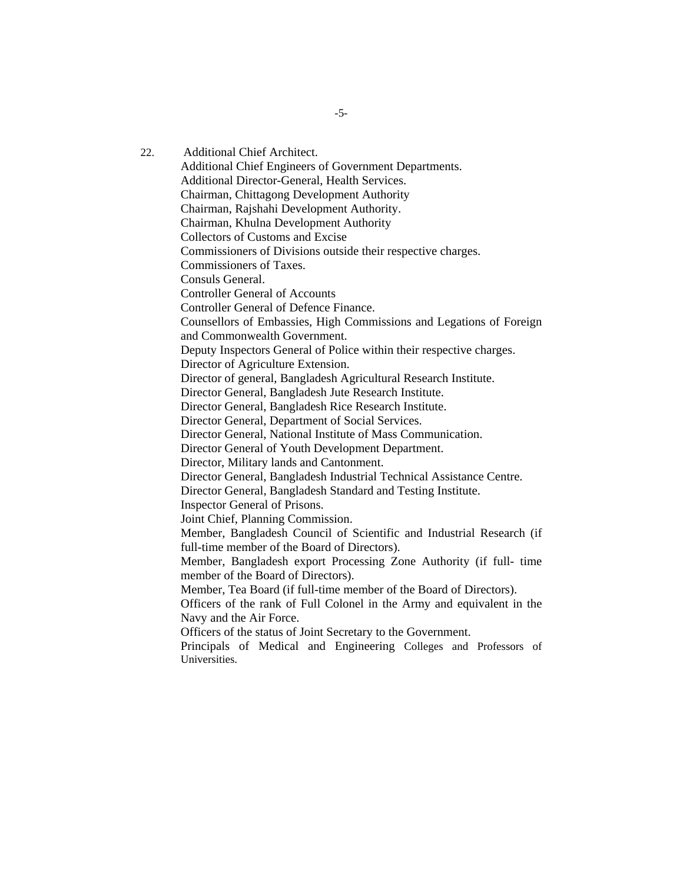22. Additional Chief Architect. Additional Chief Engineers of Government Departments. Additional Director-General, Health Services. Chairman, Chittagong Development Authority Chairman, Rajshahi Development Authority. Chairman, Khulna Development Authority Collectors of Customs and Excise Commissioners of Divisions outside their respective charges. Commissioners of Taxes. Consuls General. Controller General of Accounts Controller General of Defence Finance. Counsellors of Embassies, High Commissions and Legations of Foreign and Commonwealth Government. Deputy Inspectors General of Police within their respective charges. Director of Agriculture Extension. Director of general, Bangladesh Agricultural Research Institute. Director General, Bangladesh Jute Research Institute. Director General, Bangladesh Rice Research Institute. Director General, Department of Social Services. Director General, National Institute of Mass Communication. Director General of Youth Development Department. Director, Military lands and Cantonment. Director General, Bangladesh Industrial Technical Assistance Centre. Director General, Bangladesh Standard and Testing Institute. Inspector General of Prisons. Joint Chief, Planning Commission. Member, Bangladesh Council of Scientific and Industrial Research (if full-time member of the Board of Directors). Member, Bangladesh export Processing Zone Authority (if full- time member of the Board of Directors). Member, Tea Board (if full-time member of the Board of Directors). Officers of the rank of Full Colonel in the Army and equivalent in the Navy and the Air Force. Officers of the status of Joint Secretary to the Government. Principals of Medical and Engineering Colleges and Professors of Universities.

-5-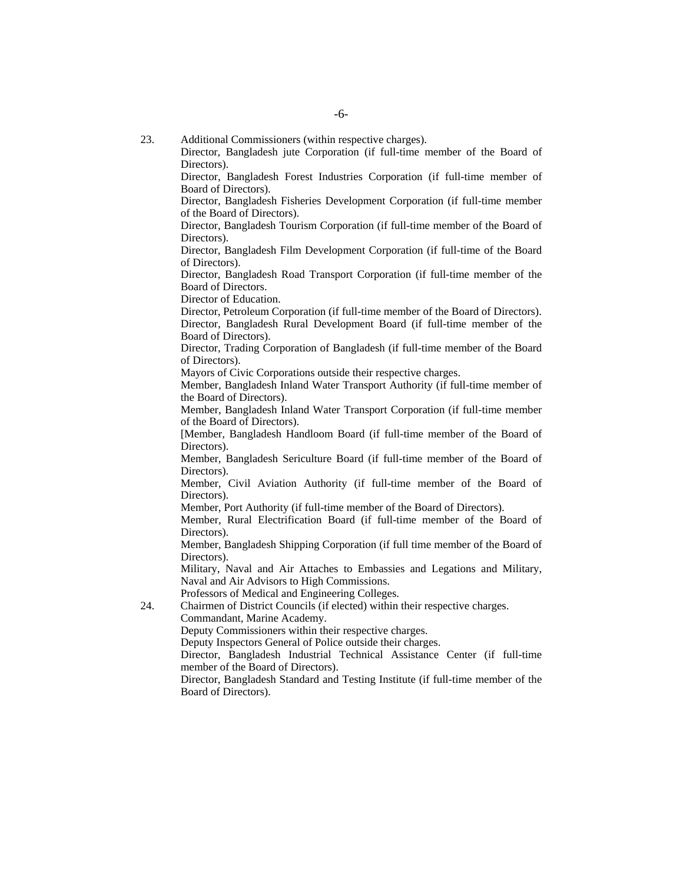- 23. Additional Commissioners (within respective charges).
	- Director, Bangladesh jute Corporation (if full-time member of the Board of Directors).

Director, Bangladesh Forest Industries Corporation (if full-time member of Board of Directors).

Director, Bangladesh Fisheries Development Corporation (if full-time member of the Board of Directors).

Director, Bangladesh Tourism Corporation (if full-time member of the Board of Directors).

Director, Bangladesh Film Development Corporation (if full-time of the Board of Directors).

Director, Bangladesh Road Transport Corporation (if full-time member of the Board of Directors.

Director of Education.

Director, Petroleum Corporation (if full-time member of the Board of Directors). Director, Bangladesh Rural Development Board (if full-time member of the Board of Directors).

Director, Trading Corporation of Bangladesh (if full-time member of the Board of Directors).

Mayors of Civic Corporations outside their respective charges.

Member, Bangladesh Inland Water Transport Authority (if full-time member of the Board of Directors).

Member, Bangladesh Inland Water Transport Corporation (if full-time member of the Board of Directors).

[Member, Bangladesh Handloom Board (if full-time member of the Board of Directors).

Member, Bangladesh Sericulture Board (if full-time member of the Board of Directors).

Member, Civil Aviation Authority (if full-time member of the Board of Directors).

Member, Port Authority (if full-time member of the Board of Directors).

Member, Rural Electrification Board (if full-time member of the Board of Directors).

Member, Bangladesh Shipping Corporation (if full time member of the Board of Directors).

Military, Naval and Air Attaches to Embassies and Legations and Military, Naval and Air Advisors to High Commissions.

Professors of Medical and Engineering Colleges.

24. Chairmen of District Councils (if elected) within their respective charges.

Commandant, Marine Academy.

Deputy Commissioners within their respective charges.

Deputy Inspectors General of Police outside their charges.

Director, Bangladesh Industrial Technical Assistance Center (if full-time member of the Board of Directors).

Director, Bangladesh Standard and Testing Institute (if full-time member of the Board of Directors).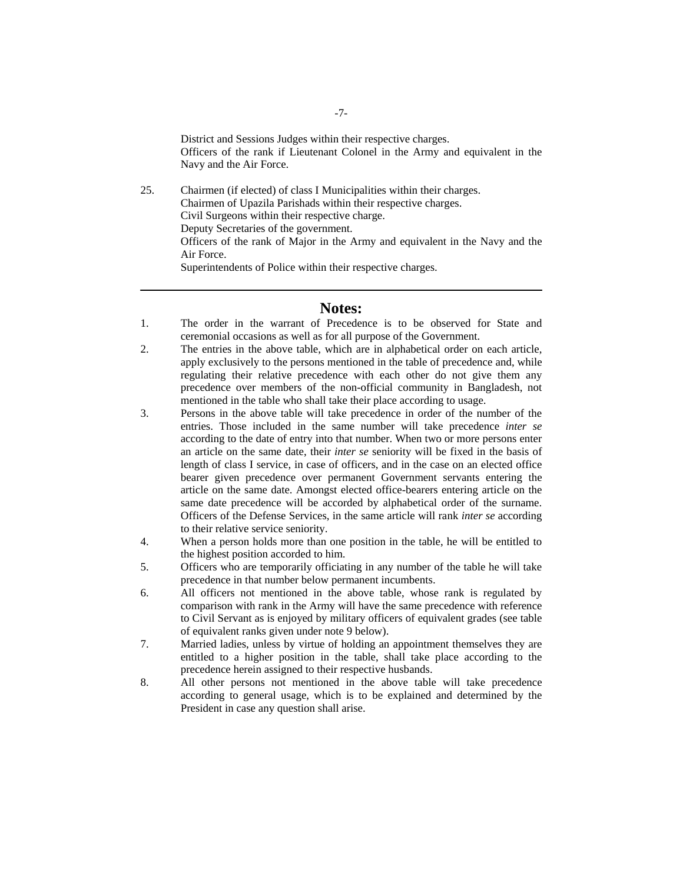25. Chairmen (if elected) of class I Municipalities within their charges. Chairmen of Upazila Parishads within their respective charges. Civil Surgeons within their respective charge. Deputy Secretaries of the government. Officers of the rank of Major in the Army and equivalent in the Navy and the Air Force. Superintendents of Police within their respective charges.

# **Notes:**

- 1. The order in the warrant of Precedence is to be observed for State and ceremonial occasions as well as for all purpose of the Government.
- 2. The entries in the above table, which are in alphabetical order on each article, apply exclusively to the persons mentioned in the table of precedence and, while regulating their relative precedence with each other do not give them any precedence over members of the non-official community in Bangladesh, not mentioned in the table who shall take their place according to usage.
- 3. Persons in the above table will take precedence in order of the number of the entries. Those included in the same number will take precedence *inter se* according to the date of entry into that number. When two or more persons enter an article on the same date, their *inter se* seniority will be fixed in the basis of length of class I service, in case of officers, and in the case on an elected office bearer given precedence over permanent Government servants entering the article on the same date. Amongst elected office-bearers entering article on the same date precedence will be accorded by alphabetical order of the surname. Officers of the Defense Services, in the same article will rank *inter se* according to their relative service seniority.
- 4. When a person holds more than one position in the table, he will be entitled to the highest position accorded to him.
- 5. Officers who are temporarily officiating in any number of the table he will take precedence in that number below permanent incumbents.
- 6. All officers not mentioned in the above table, whose rank is regulated by comparison with rank in the Army will have the same precedence with reference to Civil Servant as is enjoyed by military officers of equivalent grades (see table of equivalent ranks given under note 9 below).
- 7. Married ladies, unless by virtue of holding an appointment themselves they are entitled to a higher position in the table, shall take place according to the precedence herein assigned to their respective husbands.
- 8. All other persons not mentioned in the above table will take precedence according to general usage, which is to be explained and determined by the President in case any question shall arise.